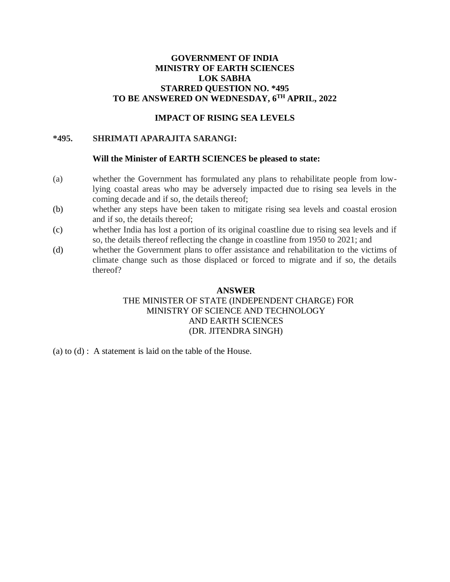# **GOVERNMENT OF INDIA MINISTRY OF EARTH SCIENCES LOK SABHA STARRED QUESTION NO. \*495 TO BE ANSWERED ON WEDNESDAY, 6TH APRIL, 2022**

### **IMPACT OF RISING SEA LEVELS**

### **\*495. SHRIMATI APARAJITA SARANGI:**

### **Will the Minister of EARTH SCIENCES be pleased to state:**

- (a) whether the Government has formulated any plans to rehabilitate people from lowlying coastal areas who may be adversely impacted due to rising sea levels in the coming decade and if so, the details thereof;
- (b) whether any steps have been taken to mitigate rising sea levels and coastal erosion and if so, the details thereof;
- (c) whether India has lost a portion of its original coastline due to rising sea levels and if so, the details thereof reflecting the change in coastline from 1950 to 2021; and
- (d) whether the Government plans to offer assistance and rehabilitation to the victims of climate change such as those displaced or forced to migrate and if so, the details thereof?

#### **ANSWER**

## THE MINISTER OF STATE (INDEPENDENT CHARGE) FOR MINISTRY OF SCIENCE AND TECHNOLOGY AND EARTH SCIENCES (DR. JITENDRA SINGH)

(a) to (d) : A statement is laid on the table of the House.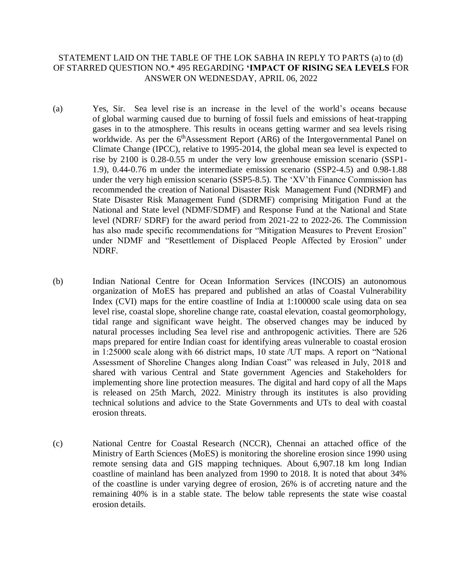## STATEMENT LAID ON THE TABLE OF THE LOK SABHA IN REPLY TO PARTS (a) to (d) OF STARRED QUESTION NO.\* 495 REGARDING **'IMPACT OF RISING SEA LEVELS** FOR ANSWER ON WEDNESDAY, APRIL 06, 2022

- (a) Yes, Sir. Sea level rise is an increase in the level of the world's oceans because of global warming caused due to burning of fossil fuels and emissions of heat-trapping gases in to the atmosphere. This results in oceans getting warmer and sea levels rising worldwide. As per the  $6<sup>th</sup>$ Assessment Report (AR6) of the Intergovernmental Panel on Climate Change (IPCC), relative to 1995-2014, the global mean sea level is expected to rise by 2100 is 0.28-0.55 m under the very low greenhouse emission scenario (SSP1- 1.9), 0.44-0.76 m under the intermediate emission scenario (SSP2-4.5) and 0.98-1.88 under the very high emission scenario (SSP5-8.5). The 'XV'th Finance Commission has recommended the creation of National Disaster Risk Management Fund (NDRMF) and State Disaster Risk Management Fund (SDRMF) comprising Mitigation Fund at the National and State level (NDMF/SDMF) and Response Fund at the National and State level (NDRF/ SDRF) for the award period from 2021-22 to 2022-26. The Commission has also made specific recommendations for "Mitigation Measures to Prevent Erosion" under NDMF and "Resettlement of Displaced People Affected by Erosion" under NDRF.
- (b) Indian National Centre for Ocean Information Services (INCOIS) an autonomous organization of MoES has prepared and published an atlas of Coastal Vulnerability Index (CVI) maps for the entire coastline of India at 1:100000 scale using data on sea level rise, coastal slope, shoreline change rate, coastal elevation, coastal geomorphology, tidal range and significant wave height. The observed changes may be induced by natural processes including Sea level rise and anthropogenic activities. There are 526 maps prepared for entire Indian coast for identifying areas vulnerable to coastal erosion in 1:25000 scale along with 66 district maps, 10 state /UT maps. A report on "National Assessment of Shoreline Changes along Indian Coast" was released in July, 2018 and shared with various Central and State government Agencies and Stakeholders for implementing shore line protection measures. The digital and hard copy of all the Maps is released on 25th March, 2022. Ministry through its institutes is also providing technical solutions and advice to the State Governments and UTs to deal with coastal erosion threats.
- (c) National Centre for Coastal Research (NCCR), Chennai an attached office of the Ministry of Earth Sciences (MoES) is monitoring the shoreline erosion since 1990 using remote sensing data and GIS mapping techniques. About 6,907.18 km long Indian coastline of mainland has been analyzed from 1990 to 2018. It is noted that about 34% of the coastline is under varying degree of erosion, 26% is of accreting nature and the remaining 40% is in a stable state. The below table represents the state wise coastal erosion details.